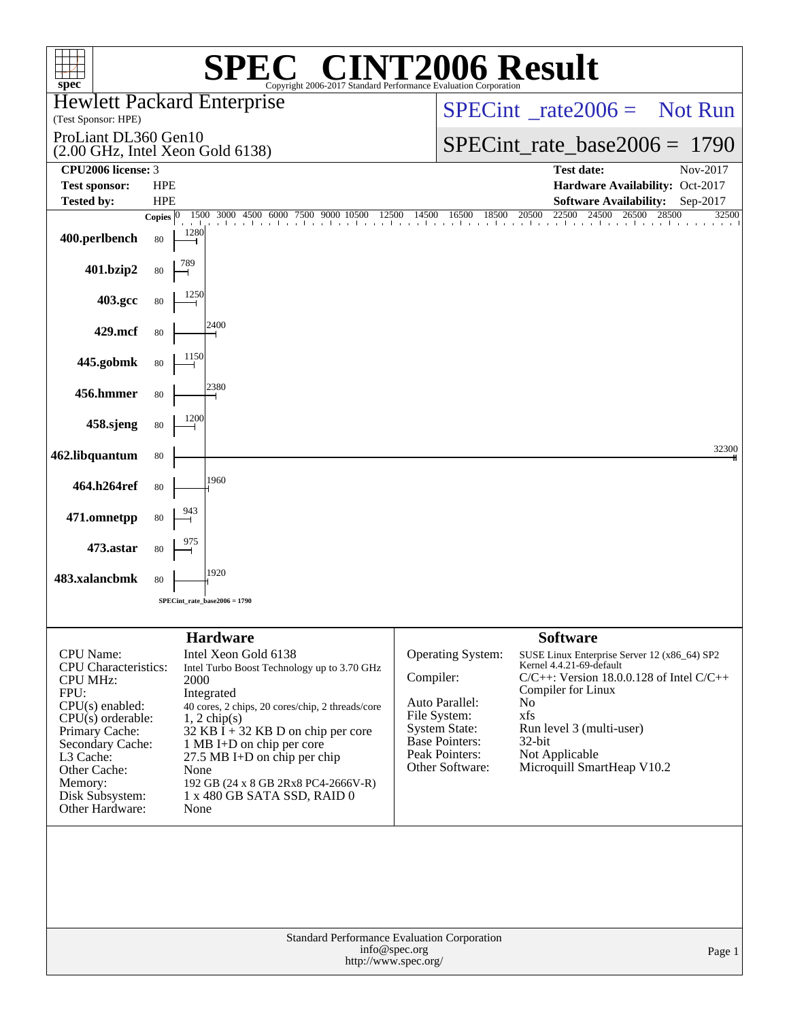| 06 Result<br>$spec^*$<br>Copyright 2006-2017 Standard Performance Evaluation Corporation                                                                                                                                                 |                          |                                                                                                                                                                                                                                                                                                                                                       |           |                                                                                                                                           |                                                                                                                                                                                                                                                                       |                |  |  |
|------------------------------------------------------------------------------------------------------------------------------------------------------------------------------------------------------------------------------------------|--------------------------|-------------------------------------------------------------------------------------------------------------------------------------------------------------------------------------------------------------------------------------------------------------------------------------------------------------------------------------------------------|-----------|-------------------------------------------------------------------------------------------------------------------------------------------|-----------------------------------------------------------------------------------------------------------------------------------------------------------------------------------------------------------------------------------------------------------------------|----------------|--|--|
| <b>Hewlett Packard Enterprise</b><br>(Test Sponsor: HPE)                                                                                                                                                                                 |                          |                                                                                                                                                                                                                                                                                                                                                       |           | $SPECint^{\circ}$ rate $2006 =$ Not Run                                                                                                   |                                                                                                                                                                                                                                                                       |                |  |  |
| ProLiant DL360 Gen10<br>(2.00 GHz, Intel Xeon Gold 6138)                                                                                                                                                                                 |                          |                                                                                                                                                                                                                                                                                                                                                       |           | $SPECint_rate_base2006 = 1790$                                                                                                            |                                                                                                                                                                                                                                                                       |                |  |  |
| CPU2006 license: 3                                                                                                                                                                                                                       |                          |                                                                                                                                                                                                                                                                                                                                                       |           |                                                                                                                                           | <b>Test date:</b>                                                                                                                                                                                                                                                     | Nov-2017       |  |  |
| <b>Test sponsor:</b><br><b>Tested by:</b>                                                                                                                                                                                                | <b>HPE</b><br><b>HPE</b> |                                                                                                                                                                                                                                                                                                                                                       |           |                                                                                                                                           | Hardware Availability: Oct-2017<br><b>Software Availability:</b>                                                                                                                                                                                                      | Sep-2017       |  |  |
|                                                                                                                                                                                                                                          | Copies $ 0\rangle$       | 1500 3000 4500 6000 7500 9000 10500<br>12500<br>the contract to a th                                                                                                                                                                                                                                                                                  | 14500     | 16500<br>18500                                                                                                                            | 22500<br>20500<br>24500<br>26500<br>and a basic contractor of                                                                                                                                                                                                         | 28500<br>32500 |  |  |
| 400.perlbench                                                                                                                                                                                                                            | 1280<br>80               |                                                                                                                                                                                                                                                                                                                                                       |           |                                                                                                                                           |                                                                                                                                                                                                                                                                       |                |  |  |
| 401.bzip2                                                                                                                                                                                                                                | 80                       |                                                                                                                                                                                                                                                                                                                                                       |           |                                                                                                                                           |                                                                                                                                                                                                                                                                       |                |  |  |
| 403.gcc                                                                                                                                                                                                                                  | 80                       |                                                                                                                                                                                                                                                                                                                                                       |           |                                                                                                                                           |                                                                                                                                                                                                                                                                       |                |  |  |
| 429.mcf                                                                                                                                                                                                                                  | 80                       | 2400                                                                                                                                                                                                                                                                                                                                                  |           |                                                                                                                                           |                                                                                                                                                                                                                                                                       |                |  |  |
| 445.gobmk                                                                                                                                                                                                                                | 1150<br>80               |                                                                                                                                                                                                                                                                                                                                                       |           |                                                                                                                                           |                                                                                                                                                                                                                                                                       |                |  |  |
| 456.hmmer                                                                                                                                                                                                                                | 80                       | 2380                                                                                                                                                                                                                                                                                                                                                  |           |                                                                                                                                           |                                                                                                                                                                                                                                                                       |                |  |  |
| 458.sjeng                                                                                                                                                                                                                                | 80                       |                                                                                                                                                                                                                                                                                                                                                       |           |                                                                                                                                           |                                                                                                                                                                                                                                                                       |                |  |  |
| 462.libquantum                                                                                                                                                                                                                           | 80                       |                                                                                                                                                                                                                                                                                                                                                       |           |                                                                                                                                           |                                                                                                                                                                                                                                                                       | 32300          |  |  |
| 464.h264ref                                                                                                                                                                                                                              | 80                       | 1960                                                                                                                                                                                                                                                                                                                                                  |           |                                                                                                                                           |                                                                                                                                                                                                                                                                       |                |  |  |
| 471.omnetpp                                                                                                                                                                                                                              | 80                       |                                                                                                                                                                                                                                                                                                                                                       |           |                                                                                                                                           |                                                                                                                                                                                                                                                                       |                |  |  |
| 473.astar                                                                                                                                                                                                                                | 80                       |                                                                                                                                                                                                                                                                                                                                                       |           |                                                                                                                                           |                                                                                                                                                                                                                                                                       |                |  |  |
| 483.xalancbmk                                                                                                                                                                                                                            | 80                       | 1920                                                                                                                                                                                                                                                                                                                                                  |           |                                                                                                                                           |                                                                                                                                                                                                                                                                       |                |  |  |
|                                                                                                                                                                                                                                          |                          | SPECint_rate_base2006 = 1790                                                                                                                                                                                                                                                                                                                          |           |                                                                                                                                           |                                                                                                                                                                                                                                                                       |                |  |  |
| <b>CPU</b> Name:<br><b>CPU</b> Characteristics:<br><b>CPU MHz:</b><br>FPU:<br>CPU(s) enabled:<br>$CPU(s)$ orderable:<br>Primary Cache:<br>Secondary Cache:<br>L3 Cache:<br>Other Cache:<br>Memory:<br>Disk Subsystem:<br>Other Hardware: | 2000<br>None<br>None     | <b>Hardware</b><br>Intel Xeon Gold 6138<br>Intel Turbo Boost Technology up to 3.70 GHz<br>Integrated<br>40 cores, 2 chips, 20 cores/chip, 2 threads/core<br>$1, 2$ chip(s)<br>$32$ KB I + 32 KB D on chip per core<br>1 MB I+D on chip per core<br>27.5 MB I+D on chip per chip<br>192 GB (24 x 8 GB 2Rx8 PC4-2666V-R)<br>1 x 480 GB SATA SSD, RAID 0 | Compiler: | Operating System:<br>Auto Parallel:<br>File System:<br><b>System State:</b><br><b>Base Pointers:</b><br>Peak Pointers:<br>Other Software: | <b>Software</b><br>SUSE Linux Enterprise Server 12 (x86_64) SP2<br>Kernel 4.4.21-69-default<br>$C/C++$ : Version 18.0.0.128 of Intel $C/C++$<br>Compiler for Linux<br>No<br>xfs<br>Run level 3 (multi-user)<br>32-bit<br>Not Applicable<br>Microquill SmartHeap V10.2 |                |  |  |
| Standard Performance Evaluation Corporation<br>info@spec.org<br>http://www.spec.org/                                                                                                                                                     |                          |                                                                                                                                                                                                                                                                                                                                                       |           |                                                                                                                                           |                                                                                                                                                                                                                                                                       | Page 1         |  |  |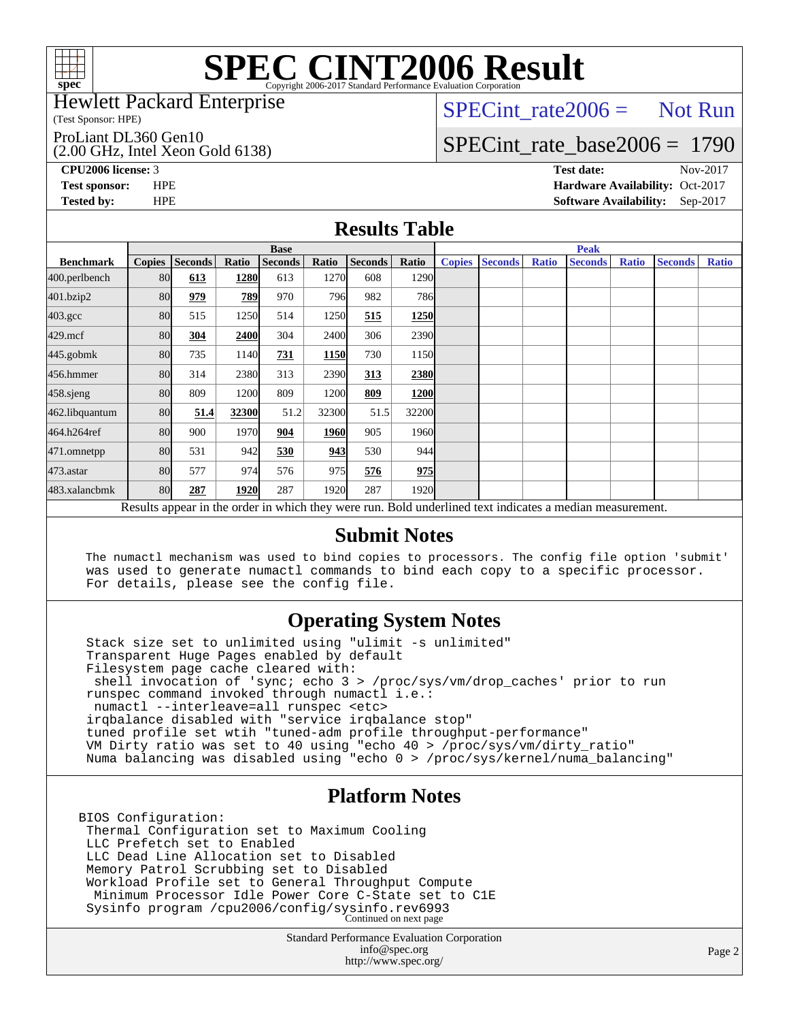

#### Hewlett Packard Enterprise

(Test Sponsor: HPE)

ProLiant DL360 Gen10

(2.00 GHz, Intel Xeon Gold 6138)

 $SPECTnt_rate2006 = Not Run$ 

# [SPECint\\_rate\\_base2006 =](http://www.spec.org/auto/cpu2006/Docs/result-fields.html#SPECintratebase2006) 1790

**[CPU2006 license:](http://www.spec.org/auto/cpu2006/Docs/result-fields.html#CPU2006license)** 3 **[Test date:](http://www.spec.org/auto/cpu2006/Docs/result-fields.html#Testdate)** Nov-2017 **[Test sponsor:](http://www.spec.org/auto/cpu2006/Docs/result-fields.html#Testsponsor)** HPE **[Hardware Availability:](http://www.spec.org/auto/cpu2006/Docs/result-fields.html#HardwareAvailability)** Oct-2017 **[Tested by:](http://www.spec.org/auto/cpu2006/Docs/result-fields.html#Testedby)** HPE **[Software Availability:](http://www.spec.org/auto/cpu2006/Docs/result-fields.html#SoftwareAvailability)** Sep-2017

### **[Results Table](http://www.spec.org/auto/cpu2006/Docs/result-fields.html#ResultsTable)**

|                                                                                                          | <b>Base</b>   |                |       |                |             |                | <b>Peak</b>       |               |                |              |                |              |                |              |
|----------------------------------------------------------------------------------------------------------|---------------|----------------|-------|----------------|-------------|----------------|-------------------|---------------|----------------|--------------|----------------|--------------|----------------|--------------|
| <b>Benchmark</b>                                                                                         | <b>Copies</b> | <b>Seconds</b> | Ratio | <b>Seconds</b> | Ratio       | <b>Seconds</b> | Ratio             | <b>Copies</b> | <b>Seconds</b> | <b>Ratio</b> | <b>Seconds</b> | <b>Ratio</b> | <b>Seconds</b> | <b>Ratio</b> |
| 400.perlbench                                                                                            | 80            | 613            | 1280  | 613            | 1270        | 608            | 1290              |               |                |              |                |              |                |              |
| 401.bzip2                                                                                                | 80            | 979            | 789   | 970            | 796I        | 982            | <b>786</b>        |               |                |              |                |              |                |              |
| $403.\mathrm{gcc}$                                                                                       | 80            | 515            | 1250  | 514            | 1250        | 515            | 1250              |               |                |              |                |              |                |              |
| $429$ .mcf                                                                                               | 80            | 304            | 2400  | 304            | 2400        | 306            | 2390              |               |                |              |                |              |                |              |
| $445$ .gobm $k$                                                                                          | 80            | 735            | 1140  | 731            | 1150        | 730            | 1150              |               |                |              |                |              |                |              |
| 456.hmmer                                                                                                | 80            | 314            | 2380  | 313            | 2390        | 313            | 2380              |               |                |              |                |              |                |              |
| $458$ .sjeng                                                                                             | 80            | 809            | 1200  | 809            | 1200        | 809            | <b>1200</b>       |               |                |              |                |              |                |              |
| 462.libquantum                                                                                           | 80            | 51.4           | 32300 | 51.2           | 32300       | 51.5           | 32200             |               |                |              |                |              |                |              |
| 464.h264ref                                                                                              | 80            | 900            | 1970  | 904            | <b>1960</b> | 905            | 1960 <sub>l</sub> |               |                |              |                |              |                |              |
| 471.omnetpp                                                                                              | 80            | 531            | 942   | 530            | 943         | 530            | 944               |               |                |              |                |              |                |              |
| 473.astar                                                                                                | 80            | 577            | 974   | 576            | 975         | 576            | 975               |               |                |              |                |              |                |              |
| 483.xalancbmk                                                                                            | 80            | 287            | 1920  | 287            | 1920        | 287            | 1920 <sub>l</sub> |               |                |              |                |              |                |              |
| Results appear in the order in which they were run. Bold underlined text indicates a median measurement. |               |                |       |                |             |                |                   |               |                |              |                |              |                |              |

#### **[Submit Notes](http://www.spec.org/auto/cpu2006/Docs/result-fields.html#SubmitNotes)**

 The numactl mechanism was used to bind copies to processors. The config file option 'submit' was used to generate numactl commands to bind each copy to a specific processor. For details, please see the config file.

### **[Operating System Notes](http://www.spec.org/auto/cpu2006/Docs/result-fields.html#OperatingSystemNotes)**

 Stack size set to unlimited using "ulimit -s unlimited" Transparent Huge Pages enabled by default Filesystem page cache cleared with: shell invocation of 'sync; echo 3 > /proc/sys/vm/drop\_caches' prior to run runspec command invoked through numactl i.e.: numactl --interleave=all runspec <etc> irqbalance disabled with "service irqbalance stop" tuned profile set wtih "tuned-adm profile throughput-performance" VM Dirty ratio was set to 40 using "echo 40 > /proc/sys/vm/dirty\_ratio" Numa balancing was disabled using "echo 0 > /proc/sys/kernel/numa\_balancing"

### **[Platform Notes](http://www.spec.org/auto/cpu2006/Docs/result-fields.html#PlatformNotes)**

BIOS Configuration: Thermal Configuration set to Maximum Cooling LLC Prefetch set to Enabled LLC Dead Line Allocation set to Disabled Memory Patrol Scrubbing set to Disabled Workload Profile set to General Throughput Compute Minimum Processor Idle Power Core C-State set to C1E Sysinfo program /cpu2006/config/sysinfo.rev6993 Continued on next page

> Standard Performance Evaluation Corporation [info@spec.org](mailto:info@spec.org) <http://www.spec.org/>

Page 2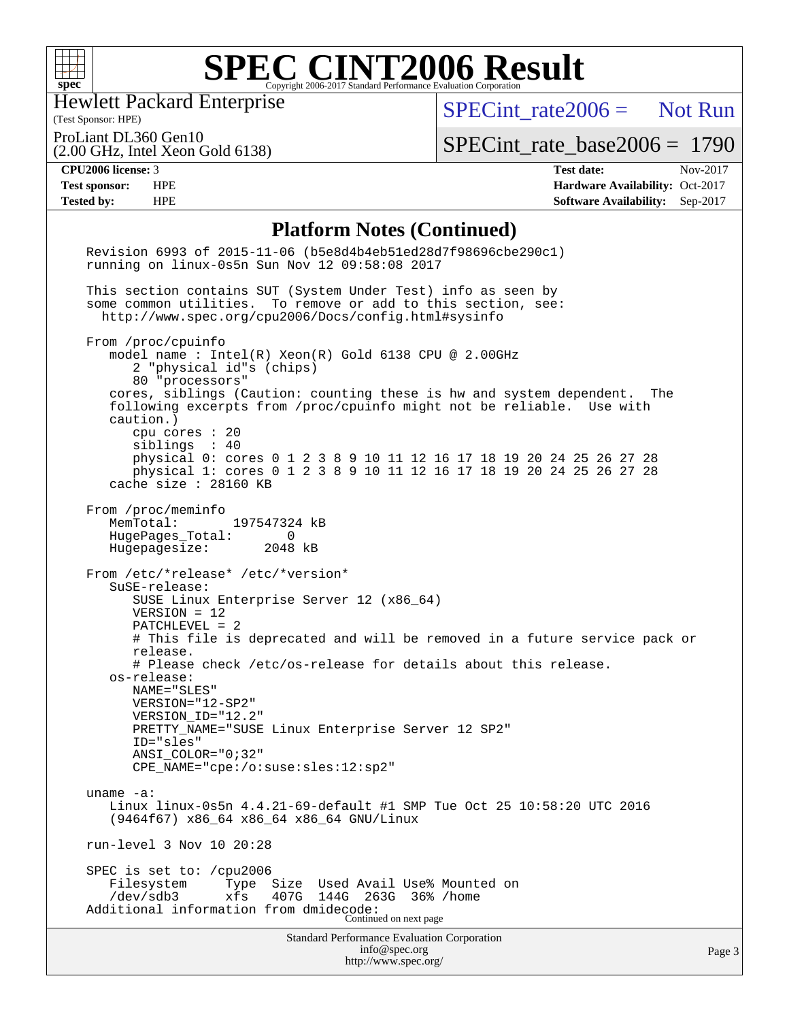

Hewlett Packard Enterprise

[SPECint\\_rate2006 =](http://www.spec.org/auto/cpu2006/Docs/result-fields.html#SPECintrate2006) Not Run

(Test Sponsor: HPE) ProLiant DL360 Gen10

(2.00 GHz, Intel Xeon Gold 6138)

[SPECint\\_rate\\_base2006 =](http://www.spec.org/auto/cpu2006/Docs/result-fields.html#SPECintratebase2006) 1790

**[CPU2006 license:](http://www.spec.org/auto/cpu2006/Docs/result-fields.html#CPU2006license)** 3 **[Test date:](http://www.spec.org/auto/cpu2006/Docs/result-fields.html#Testdate)** Nov-2017 **[Test sponsor:](http://www.spec.org/auto/cpu2006/Docs/result-fields.html#Testsponsor)** HPE **[Hardware Availability:](http://www.spec.org/auto/cpu2006/Docs/result-fields.html#HardwareAvailability)** Oct-2017 **[Tested by:](http://www.spec.org/auto/cpu2006/Docs/result-fields.html#Testedby)** HPE **[Software Availability:](http://www.spec.org/auto/cpu2006/Docs/result-fields.html#SoftwareAvailability)** Sep-2017

### **[Platform Notes \(Continued\)](http://www.spec.org/auto/cpu2006/Docs/result-fields.html#PlatformNotes)**

| Standard Performance Evaluation Corporation<br>info@spec.org<br>http://www.spec.org/                                                                                                                                                                                                                                                                                                                                                                                                    | Page 3 |
|-----------------------------------------------------------------------------------------------------------------------------------------------------------------------------------------------------------------------------------------------------------------------------------------------------------------------------------------------------------------------------------------------------------------------------------------------------------------------------------------|--------|
| SPEC is set to: /cpu2006<br>Size Used Avail Use% Mounted on<br>Filesystem<br>Type<br>/dev/sdb3<br>xfs<br>407G<br>144G<br>263G<br>36% /home<br>Additional information from dmidecode:<br>Continued on next page                                                                                                                                                                                                                                                                          |        |
| run-level 3 Nov 10 20:28                                                                                                                                                                                                                                                                                                                                                                                                                                                                |        |
| uname $-a$ :<br>Linux linux-0s5n 4.4.21-69-default #1 SMP Tue Oct 25 10:58:20 UTC 2016<br>$(9464f67)$ x86 64 x86 64 x86 64 GNU/Linux                                                                                                                                                                                                                                                                                                                                                    |        |
| # Please check /etc/os-release for details about this release.<br>os-release:<br>NAME="SLES"<br>VERSION="12-SP2"<br>VERSION_ID="12.2"<br>PRETTY_NAME="SUSE Linux Enterprise Server 12 SP2"<br>ID="sles"<br>$ANSI$ _COLOR=" $0:32$ "<br>$CPE\_NAME = "cpe://o:suse: sles:12:sp2"$                                                                                                                                                                                                        |        |
| From /etc/*release* /etc/*version*<br>SuSE-release:<br>SUSE Linux Enterprise Server 12 (x86_64)<br>$VERSION = 12$<br>PATCHLEVEL = 2<br># This file is deprecated and will be removed in a future service pack or<br>release.                                                                                                                                                                                                                                                            |        |
| From /proc/meminfo<br>MemTotal:<br>197547324 kB<br>HugePages_Total:<br>0<br>Hugepagesize: 2048 kB                                                                                                                                                                                                                                                                                                                                                                                       |        |
| model name : Intel(R) Xeon(R) Gold 6138 CPU @ 2.00GHz<br>2 "physical id"s (chips)<br>80 "processors"<br>cores, siblings (Caution: counting these is hw and system dependent.<br>The<br>following excerpts from /proc/cpuinfo might not be reliable. Use with<br>caution.)<br>cpu cores $: 20$<br>siblings : 40<br>physical 0: cores 0 1 2 3 8 9 10 11 12 16 17 18 19 20 24 25 26 27 28<br>physical 1: cores 0 1 2 3 8 9 10 11 12 16 17 18 19 20 24 25 26 27 28<br>cache size : 28160 KB |        |
| From /proc/cpuinfo                                                                                                                                                                                                                                                                                                                                                                                                                                                                      |        |
| This section contains SUT (System Under Test) info as seen by<br>some common utilities. To remove or add to this section, see:<br>http://www.spec.org/cpu2006/Docs/config.html#sysinfo                                                                                                                                                                                                                                                                                                  |        |
| Revision 6993 of 2015-11-06 (b5e8d4b4eb51ed28d7f98696cbe290c1)<br>running on linux-0s5n Sun Nov 12 09:58:08 2017                                                                                                                                                                                                                                                                                                                                                                        |        |
|                                                                                                                                                                                                                                                                                                                                                                                                                                                                                         |        |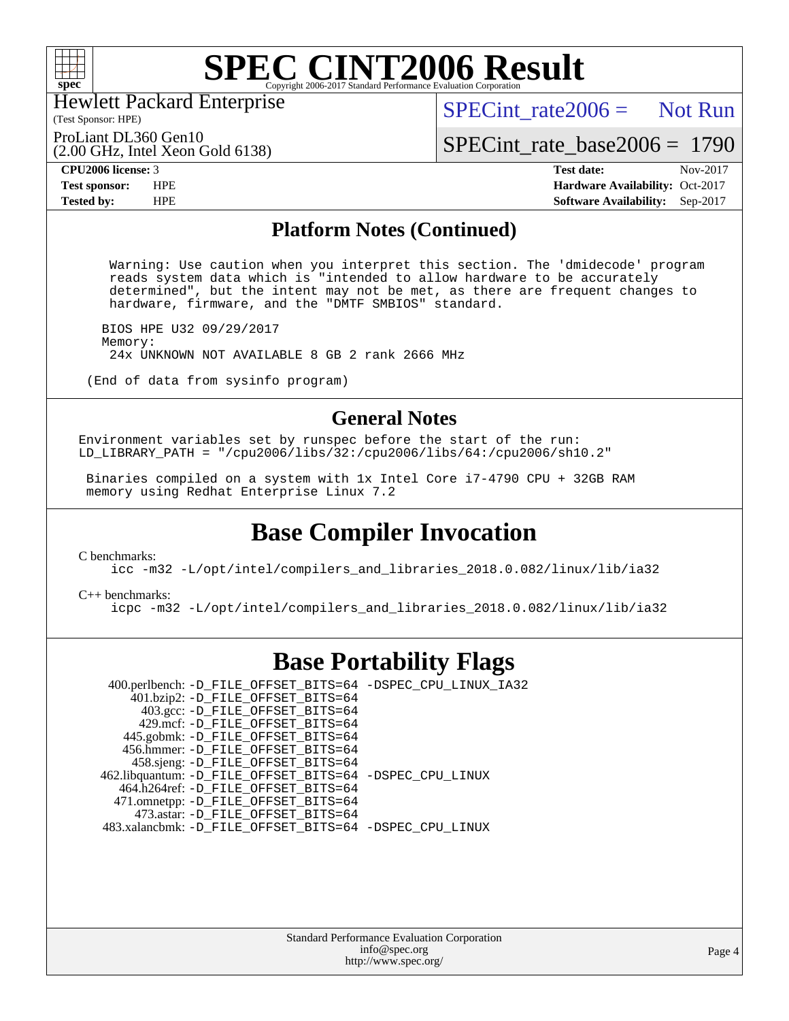

Hewlett Packard Enterprise

(Test Sponsor: HPE)

 $SPECint rate2006 =$  Not Run

ProLiant DL360 Gen10

(2.00 GHz, Intel Xeon Gold 6138)

[SPECint\\_rate\\_base2006 =](http://www.spec.org/auto/cpu2006/Docs/result-fields.html#SPECintratebase2006) 1790

**[CPU2006 license:](http://www.spec.org/auto/cpu2006/Docs/result-fields.html#CPU2006license)** 3 **[Test date:](http://www.spec.org/auto/cpu2006/Docs/result-fields.html#Testdate)** Nov-2017 **[Test sponsor:](http://www.spec.org/auto/cpu2006/Docs/result-fields.html#Testsponsor)** HPE **[Hardware Availability:](http://www.spec.org/auto/cpu2006/Docs/result-fields.html#HardwareAvailability)** Oct-2017 **[Tested by:](http://www.spec.org/auto/cpu2006/Docs/result-fields.html#Testedby)** HPE **[Software Availability:](http://www.spec.org/auto/cpu2006/Docs/result-fields.html#SoftwareAvailability)** Sep-2017

### **[Platform Notes \(Continued\)](http://www.spec.org/auto/cpu2006/Docs/result-fields.html#PlatformNotes)**

 Warning: Use caution when you interpret this section. The 'dmidecode' program reads system data which is "intended to allow hardware to be accurately determined", but the intent may not be met, as there are frequent changes to hardware, firmware, and the "DMTF SMBIOS" standard.

 BIOS HPE U32 09/29/2017 Memory: 24x UNKNOWN NOT AVAILABLE 8 GB 2 rank 2666 MHz

(End of data from sysinfo program)

### **[General Notes](http://www.spec.org/auto/cpu2006/Docs/result-fields.html#GeneralNotes)**

Environment variables set by runspec before the start of the run: LD\_LIBRARY\_PATH = "/cpu2006/libs/32:/cpu2006/libs/64:/cpu2006/sh10.2"

 Binaries compiled on a system with 1x Intel Core i7-4790 CPU + 32GB RAM memory using Redhat Enterprise Linux 7.2

### **[Base Compiler Invocation](http://www.spec.org/auto/cpu2006/Docs/result-fields.html#BaseCompilerInvocation)**

[C benchmarks](http://www.spec.org/auto/cpu2006/Docs/result-fields.html#Cbenchmarks):

[icc -m32 -L/opt/intel/compilers\\_and\\_libraries\\_2018.0.082/linux/lib/ia32](http://www.spec.org/cpu2006/results/res2017q4/cpu2006-20171114-50685.flags.html#user_CCbase_intel_icc_355c401af4d5dc87e09103a6bbcae1c6)

[C++ benchmarks:](http://www.spec.org/auto/cpu2006/Docs/result-fields.html#CXXbenchmarks) [icpc -m32 -L/opt/intel/compilers\\_and\\_libraries\\_2018.0.082/linux/lib/ia32](http://www.spec.org/cpu2006/results/res2017q4/cpu2006-20171114-50685.flags.html#user_CXXbase_intel_icpc_b34a6f497613b30bc6bf10051974f22f)

### **[Base Portability Flags](http://www.spec.org/auto/cpu2006/Docs/result-fields.html#BasePortabilityFlags)**

 400.perlbench: [-D\\_FILE\\_OFFSET\\_BITS=64](http://www.spec.org/cpu2006/results/res2017q4/cpu2006-20171114-50685.flags.html#user_basePORTABILITY400_perlbench_file_offset_bits_64_438cf9856305ebd76870a2c6dc2689ab) [-DSPEC\\_CPU\\_LINUX\\_IA32](http://www.spec.org/cpu2006/results/res2017q4/cpu2006-20171114-50685.flags.html#b400.perlbench_baseCPORTABILITY_DSPEC_CPU_LINUX_IA32) 401.bzip2: [-D\\_FILE\\_OFFSET\\_BITS=64](http://www.spec.org/cpu2006/results/res2017q4/cpu2006-20171114-50685.flags.html#user_basePORTABILITY401_bzip2_file_offset_bits_64_438cf9856305ebd76870a2c6dc2689ab) 403.gcc: [-D\\_FILE\\_OFFSET\\_BITS=64](http://www.spec.org/cpu2006/results/res2017q4/cpu2006-20171114-50685.flags.html#user_basePORTABILITY403_gcc_file_offset_bits_64_438cf9856305ebd76870a2c6dc2689ab) 429.mcf: [-D\\_FILE\\_OFFSET\\_BITS=64](http://www.spec.org/cpu2006/results/res2017q4/cpu2006-20171114-50685.flags.html#user_basePORTABILITY429_mcf_file_offset_bits_64_438cf9856305ebd76870a2c6dc2689ab) 445.gobmk: [-D\\_FILE\\_OFFSET\\_BITS=64](http://www.spec.org/cpu2006/results/res2017q4/cpu2006-20171114-50685.flags.html#user_basePORTABILITY445_gobmk_file_offset_bits_64_438cf9856305ebd76870a2c6dc2689ab) 456.hmmer: [-D\\_FILE\\_OFFSET\\_BITS=64](http://www.spec.org/cpu2006/results/res2017q4/cpu2006-20171114-50685.flags.html#user_basePORTABILITY456_hmmer_file_offset_bits_64_438cf9856305ebd76870a2c6dc2689ab) 458.sjeng: [-D\\_FILE\\_OFFSET\\_BITS=64](http://www.spec.org/cpu2006/results/res2017q4/cpu2006-20171114-50685.flags.html#user_basePORTABILITY458_sjeng_file_offset_bits_64_438cf9856305ebd76870a2c6dc2689ab) 462.libquantum: [-D\\_FILE\\_OFFSET\\_BITS=64](http://www.spec.org/cpu2006/results/res2017q4/cpu2006-20171114-50685.flags.html#user_basePORTABILITY462_libquantum_file_offset_bits_64_438cf9856305ebd76870a2c6dc2689ab) [-DSPEC\\_CPU\\_LINUX](http://www.spec.org/cpu2006/results/res2017q4/cpu2006-20171114-50685.flags.html#b462.libquantum_baseCPORTABILITY_DSPEC_CPU_LINUX) 464.h264ref: [-D\\_FILE\\_OFFSET\\_BITS=64](http://www.spec.org/cpu2006/results/res2017q4/cpu2006-20171114-50685.flags.html#user_basePORTABILITY464_h264ref_file_offset_bits_64_438cf9856305ebd76870a2c6dc2689ab) 471.omnetpp: [-D\\_FILE\\_OFFSET\\_BITS=64](http://www.spec.org/cpu2006/results/res2017q4/cpu2006-20171114-50685.flags.html#user_basePORTABILITY471_omnetpp_file_offset_bits_64_438cf9856305ebd76870a2c6dc2689ab) 473.astar: [-D\\_FILE\\_OFFSET\\_BITS=64](http://www.spec.org/cpu2006/results/res2017q4/cpu2006-20171114-50685.flags.html#user_basePORTABILITY473_astar_file_offset_bits_64_438cf9856305ebd76870a2c6dc2689ab) 483.xalancbmk: [-D\\_FILE\\_OFFSET\\_BITS=64](http://www.spec.org/cpu2006/results/res2017q4/cpu2006-20171114-50685.flags.html#user_basePORTABILITY483_xalancbmk_file_offset_bits_64_438cf9856305ebd76870a2c6dc2689ab) [-DSPEC\\_CPU\\_LINUX](http://www.spec.org/cpu2006/results/res2017q4/cpu2006-20171114-50685.flags.html#b483.xalancbmk_baseCXXPORTABILITY_DSPEC_CPU_LINUX)

> Standard Performance Evaluation Corporation [info@spec.org](mailto:info@spec.org) <http://www.spec.org/>